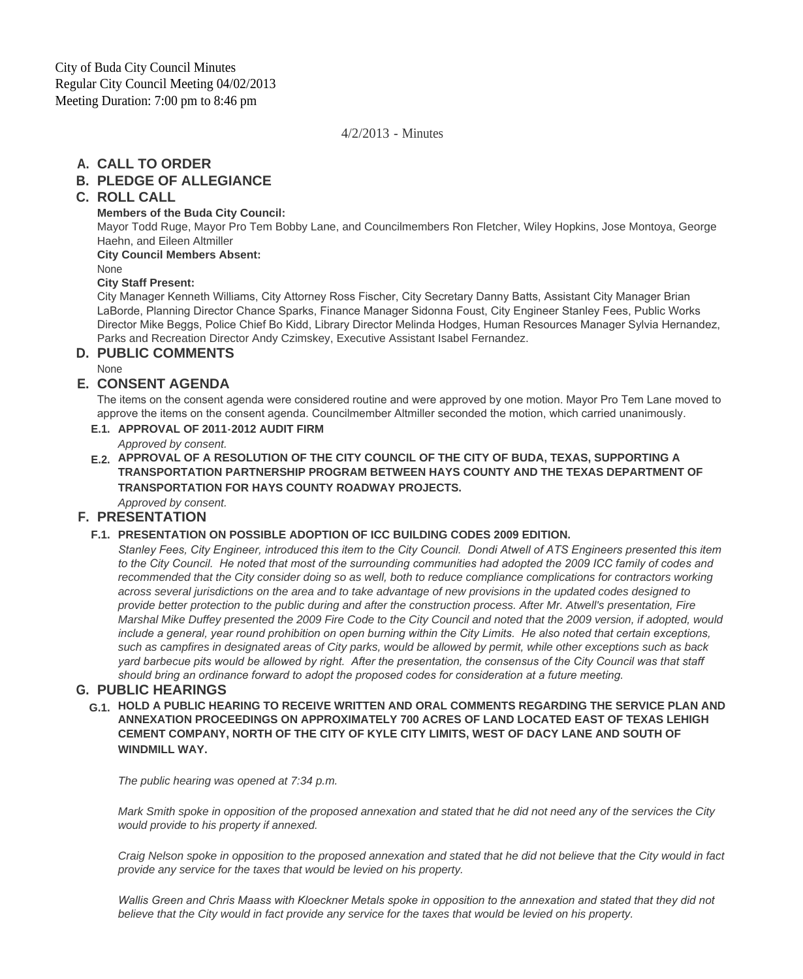4/2/2013 - Minutes

# **CALL TO ORDER A.**

# **PLEDGE OF ALLEGIANCE B.**

# **ROLL CALL C.**

#### **Members of the Buda City Council:**

Mayor Todd Ruge, Mayor Pro Tem Bobby Lane, and Councilmembers Ron Fletcher, Wiley Hopkins, Jose Montoya, George Haehn, and Eileen Altmiller

**City Council Members Absent:**

None

### **City Staff Present:**

City Manager Kenneth Williams, City Attorney Ross Fischer, City Secretary Danny Batts, Assistant City Manager Brian LaBorde, Planning Director Chance Sparks, Finance Manager Sidonna Foust, City Engineer Stanley Fees, Public Works Director Mike Beggs, Police Chief Bo Kidd, Library Director Melinda Hodges, Human Resources Manager Sylvia Hernandez, Parks and Recreation Director Andy Czimskey, Executive Assistant Isabel Fernandez.

# **PUBLIC COMMENTS D.**

None

## **CONSENT AGENDA E.**

The items on the consent agenda were considered routine and were approved by one motion. Mayor Pro Tem Lane moved to approve the items on the consent agenda. Councilmember Altmiller seconded the motion, which carried unanimously.

## **APPROVAL OF 2011-2012 AUDIT FIRM E.1.**

*Approved by consent.*

# **APPROVAL OF A RESOLUTION OF THE CITY COUNCIL OF THE CITY OF BUDA, TEXAS, SUPPORTING A E.2. TRANSPORTATION PARTNERSHIP PROGRAM BETWEEN HAYS COUNTY AND THE TEXAS DEPARTMENT OF TRANSPORTATION FOR HAYS COUNTY ROADWAY PROJECTS.**

*Approved by consent.*

# **PRESENTATION F.**

## **PRESENTATION ON POSSIBLE ADOPTION OF ICC BUILDING CODES 2009 EDITION. F.1.**

*Stanley Fees, City Engineer, introduced this item to the City Council. Dondi Atwell of ATS Engineers presented this item*  to the City Council. He noted that most of the surrounding communities had adopted the 2009 ICC family of codes and *recommended that the City consider doing so as well, both to reduce compliance complications for contractors working across several jurisdictions on the area and to take advantage of new provisions in the updated codes designed to provide better protection to the public during and after the construction process. After Mr. Atwell's presentation, Fire Marshal Mike Duffey presented the 2009 Fire Code to the City Council and noted that the 2009 version, if adopted, would include a general, year round prohibition on open burning within the City Limits. He also noted that certain exceptions, such as campfires in designated areas of City parks, would be allowed by permit, while other exceptions such as back yard barbecue pits would be allowed by right. After the presentation, the consensus of the City Council was that staff should bring an ordinance forward to adopt the proposed codes for consideration at a future meeting.* 

# **PUBLIC HEARINGS G.**

**HOLD A PUBLIC HEARING TO RECEIVE WRITTEN AND ORAL COMMENTS REGARDING THE SERVICE PLAN AND G.1. ANNEXATION PROCEEDINGS ON APPROXIMATELY 700 ACRES OF LAND LOCATED EAST OF TEXAS LEHIGH CEMENT COMPANY, NORTH OF THE CITY OF KYLE CITY LIMITS, WEST OF DACY LANE AND SOUTH OF WINDMILL WAY.**

*The public hearing was opened at 7:34 p.m.*

*Mark Smith spoke in opposition of the proposed annexation and stated that he did not need any of the services the City would provide to his property if annexed.*

*Craig Nelson spoke in opposition to the proposed annexation and stated that he did not believe that the City would in fact provide any service for the taxes that would be levied on his property.*

*Wallis Green and Chris Maass with Kloeckner Metals spoke in opposition to the annexation and stated that they did not believe that the City would in fact provide any service for the taxes that would be levied on his property.*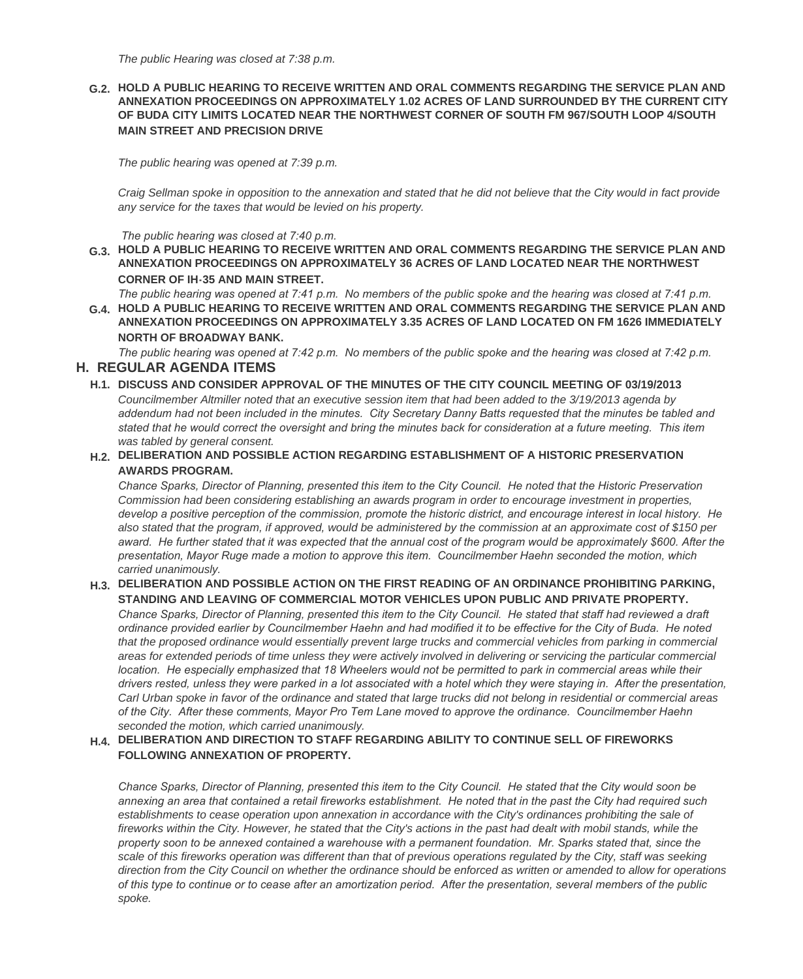#### **HOLD A PUBLIC HEARING TO RECEIVE WRITTEN AND ORAL COMMENTS REGARDING THE SERVICE PLAN AND G.2. ANNEXATION PROCEEDINGS ON APPROXIMATELY 1.02 ACRES OF LAND SURROUNDED BY THE CURRENT CITY OF BUDA CITY LIMITS LOCATED NEAR THE NORTHWEST CORNER OF SOUTH FM 967/SOUTH LOOP 4/SOUTH MAIN STREET AND PRECISION DRIVE**

*The public hearing was opened at 7:39 p.m.*

*Craig Sellman spoke in opposition to the annexation and stated that he did not believe that the City would in fact provide any service for the taxes that would be levied on his property.*

 *The public hearing was closed at 7:40 p.m.*

**HOLD A PUBLIC HEARING TO RECEIVE WRITTEN AND ORAL COMMENTS REGARDING THE SERVICE PLAN AND G.3. ANNEXATION PROCEEDINGS ON APPROXIMATELY 36 ACRES OF LAND LOCATED NEAR THE NORTHWEST CORNER OF IH-35 AND MAIN STREET.**

*The public hearing was opened at 7:41 p.m. No members of the public spoke and the hearing was closed at 7:41 p.m.* 

**HOLD A PUBLIC HEARING TO RECEIVE WRITTEN AND ORAL COMMENTS REGARDING THE SERVICE PLAN AND G.4. ANNEXATION PROCEEDINGS ON APPROXIMATELY 3.35 ACRES OF LAND LOCATED ON FM 1626 IMMEDIATELY NORTH OF BROADWAY BANK.**

*The public hearing was opened at 7:42 p.m. No members of the public spoke and the hearing was closed at 7:42 p.m.*  **REGULAR AGENDA ITEMS H.**

# **DISCUSS AND CONSIDER APPROVAL OF THE MINUTES OF THE CITY COUNCIL MEETING OF 03/19/2013 H.1.**

*Councilmember Altmiller noted that an executive session item that had been added to the 3/19/2013 agenda by addendum had not been included in the minutes. City Secretary Danny Batts requested that the minutes be tabled and stated that he would correct the oversight and bring the minutes back for consideration at a future meeting. This item was tabled by general consent.*

#### **DELIBERATION AND POSSIBLE ACTION REGARDING ESTABLISHMENT OF A HISTORIC PRESERVATION H.2. AWARDS PROGRAM.**

*Chance Sparks, Director of Planning, presented this item to the City Council. He noted that the Historic Preservation Commission had been considering establishing an awards program in order to encourage investment in properties, develop a positive perception of the commission, promote the historic district, and encourage interest in local history. He also stated that the program, if approved, would be administered by the commission at an approximate cost of \$150 per award. He further stated that it was expected that the annual cost of the program would be approximately \$600. After the presentation, Mayor Ruge made a motion to approve this item. Councilmember Haehn seconded the motion, which carried unanimously.*

#### **DELIBERATION AND POSSIBLE ACTION ON THE FIRST READING OF AN ORDINANCE PROHIBITING PARKING, H.3. STANDING AND LEAVING OF COMMERCIAL MOTOR VEHICLES UPON PUBLIC AND PRIVATE PROPERTY.**

*Chance Sparks, Director of Planning, presented this item to the City Council. He stated that staff had reviewed a draft ordinance provided earlier by Councilmember Haehn and had modified it to be effective for the City of Buda. He noted*  that the proposed ordinance would essentially prevent large trucks and commercial vehicles from parking in commercial *areas for extended periods of time unless they were actively involved in delivering or servicing the particular commercial location. He especially emphasized that 18 Wheelers would not be permitted to park in commercial areas while their drivers rested, unless they were parked in a lot associated with a hotel which they were staying in. After the presentation, Carl Urban spoke in favor of the ordinance and stated that large trucks did not belong in residential or commercial areas of the City. After these comments, Mayor Pro Tem Lane moved to approve the ordinance. Councilmember Haehn seconded the motion, which carried unanimously.*

#### **DELIBERATION AND DIRECTION TO STAFF REGARDING ABILITY TO CONTINUE SELL OF FIREWORKS H.4. FOLLOWING ANNEXATION OF PROPERTY.**

*Chance Sparks, Director of Planning, presented this item to the City Council. He stated that the City would soon be annexing an area that contained a retail fireworks establishment. He noted that in the past the City had required such establishments to cease operation upon annexation in accordance with the City's ordinances prohibiting the sale of fireworks within the City. However, he stated that the City's actions in the past had dealt with mobil stands, while the property soon to be annexed contained a warehouse with a permanent foundation. Mr. Sparks stated that, since the scale of this fireworks operation was different than that of previous operations regulated by the City, staff was seeking direction from the City Council on whether the ordinance should be enforced as written or amended to allow for operations of this type to continue or to cease after an amortization period. After the presentation, several members of the public spoke.*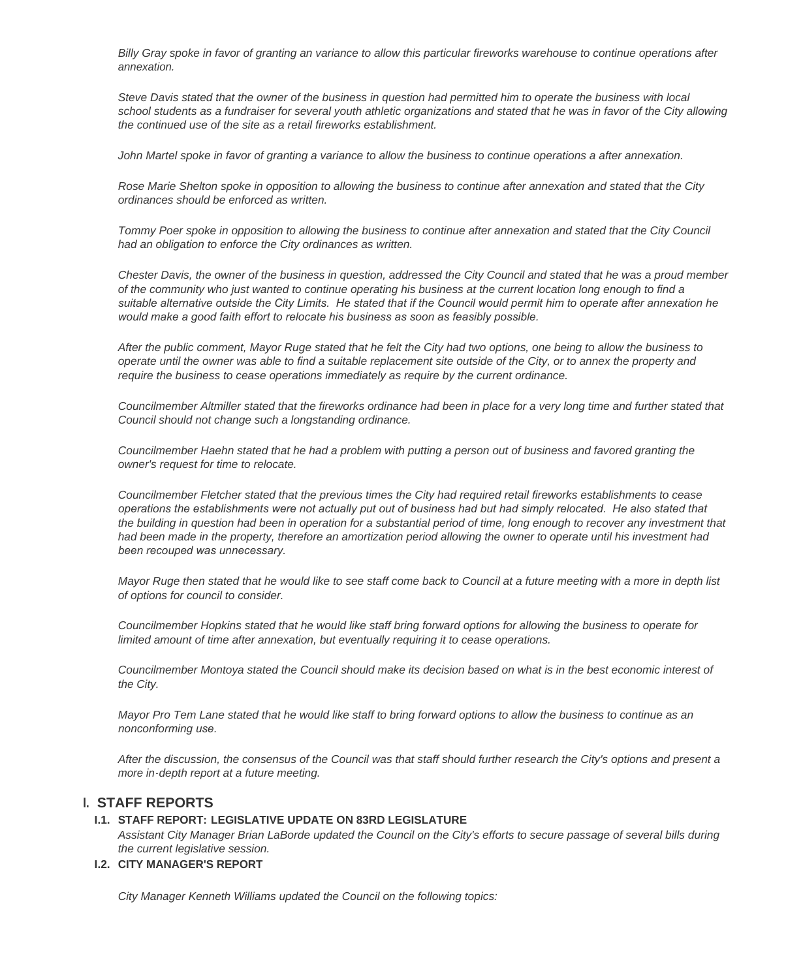*Billy Gray spoke in favor of granting an variance to allow this particular fireworks warehouse to continue operations after annexation.*

*Steve Davis stated that the owner of the business in question had permitted him to operate the business with local school students as a fundraiser for several youth athletic organizations and stated that he was in favor of the City allowing the continued use of the site as a retail fireworks establishment.*

*John Martel spoke in favor of granting a variance to allow the business to continue operations a after annexation.*

*Rose Marie Shelton spoke in opposition to allowing the business to continue after annexation and stated that the City ordinances should be enforced as written.*

*Tommy Poer spoke in opposition to allowing the business to continue after annexation and stated that the City Council had an obligation to enforce the City ordinances as written.*

*Chester Davis, the owner of the business in question, addressed the City Council and stated that he was a proud member of the community who just wanted to continue operating his business at the current location long enough to find a suitable alternative outside the City Limits. He stated that if the Council would permit him to operate after annexation he would make a good faith effort to relocate his business as soon as feasibly possible.* 

*After the public comment, Mayor Ruge stated that he felt the City had two options, one being to allow the business to operate until the owner was able to find a suitable replacement site outside of the City, or to annex the property and require the business to cease operations immediately as require by the current ordinance.*

*Councilmember Altmiller stated that the fireworks ordinance had been in place for a very long time and further stated that Council should not change such a longstanding ordinance.*

*Councilmember Haehn stated that he had a problem with putting a person out of business and favored granting the owner's request for time to relocate.*

*Councilmember Fletcher stated that the previous times the City had required retail fireworks establishments to cease operations the establishments were not actually put out of business had but had simply relocated. He also stated that the building in question had been in operation for a substantial period of time, long enough to recover any investment that had been made in the property, therefore an amortization period allowing the owner to operate until his investment had been recouped was unnecessary.* 

*Mayor Ruge then stated that he would like to see staff come back to Council at a future meeting with a more in depth list of options for council to consider.*

*Councilmember Hopkins stated that he would like staff bring forward options for allowing the business to operate for limited amount of time after annexation, but eventually requiring it to cease operations.*

*Councilmember Montoya stated the Council should make its decision based on what is in the best economic interest of the City.*

*Mayor Pro Tem Lane stated that he would like staff to bring forward options to allow the business to continue as an nonconforming use.* 

*After the discussion, the consensus of the Council was that staff should further research the City's options and present a more in-depth report at a future meeting.*

## **STAFF REPORTS I.**

#### **STAFF REPORT: LEGISLATIVE UPDATE ON 83RD LEGISLATURE I.1.**

*Assistant City Manager Brian LaBorde updated the Council on the City's efforts to secure passage of several bills during the current legislative session.*

#### **CITY MANAGER'S REPORT I.2.**

*City Manager Kenneth Williams updated the Council on the following topics:*